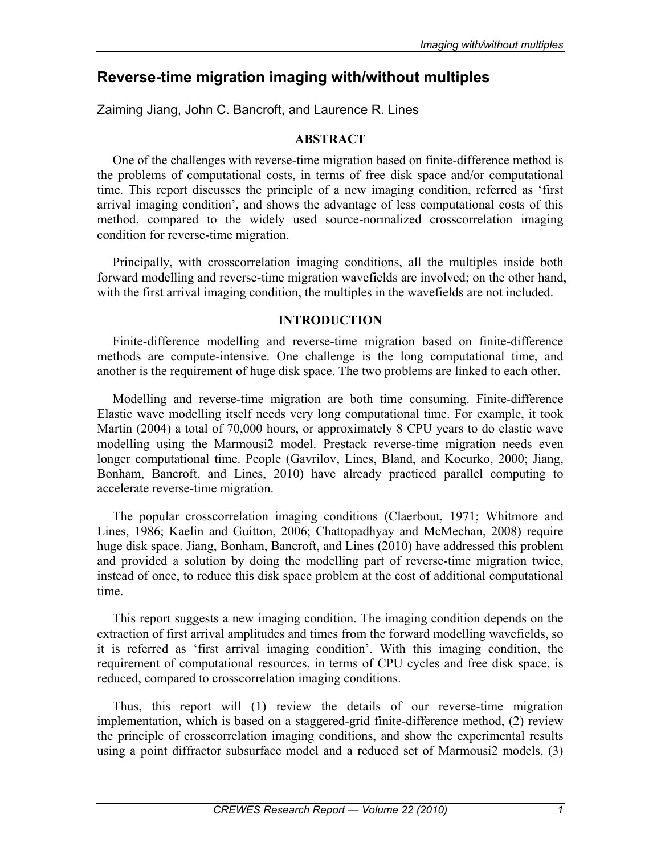# **Reverse-time migration imaging with/without multiples**

Zaiming Jiang, John C. Bancroft, and Laurence R. Lines

# **ABSTRACT**

One of the challenges with reverse-time migration based on finite-difference method is the problems of computational costs, in terms of free disk space and/or computational time. This report discusses the principle of a new imaging condition, referred as 'first arrival imaging condition', and shows the advantage of less computational costs of this method, compared to the widely used source-normalized crosscorrelation imaging condition for reverse-time migration.

Principally, with crosscorrelation imaging conditions, all the multiples inside both forward modelling and reverse-time migration wavefields are involved; on the other hand, with the first arrival imaging condition, the multiples in the wavefields are not included.

# **INTRODUCTION**

Finite-difference modelling and reverse-time migration based on finite-difference methods are compute-intensive. One challenge is the long computational time, and another is the requirement of huge disk space. The two problems are linked to each other.

Modelling and reverse-time migration are both time consuming. Finite-difference Elastic wave modelling itself needs very long computational time. For example, it took Martin (2004) a total of 70,000 hours, or approximately 8 CPU years to do elastic wave modelling using the Marmousi2 model. Prestack reverse-time migration needs even longer computational time. People (Gavrilov, Lines, Bland, and Kocurko, 2000; Jiang, Bonham, Bancroft, and Lines, 2010) have already practiced parallel computing to accelerate reverse-time migration.

The popular crosscorrelation imaging conditions (Claerbout, 1971; Whitmore and Lines, 1986; Kaelin and Guitton, 2006; Chattopadhyay and McMechan, 2008) require huge disk space. Jiang, Bonham, Bancroft, and Lines (2010) have addressed this problem and provided a solution by doing the modelling part of reverse-time migration twice, instead of once, to reduce this disk space problem at the cost of additional computational time.

This report suggests a new imaging condition. The imaging condition depends on the extraction of first arrival amplitudes and times from the forward modelling wavefields, so it is referred as 'first arrival imaging condition'. With this imaging condition, the requirement of computational resources, in terms of CPU cycles and free disk space, is reduced, compared to crosscorrelation imaging conditions.

Thus, this report will (1) review the details of our reverse-time migration implementation, which is based on a staggered-grid finite-difference method, (2) review the principle of crosscorrelation imaging conditions, and show the experimental results using a point diffractor subsurface model and a reduced set of Marmousi2 models, (3)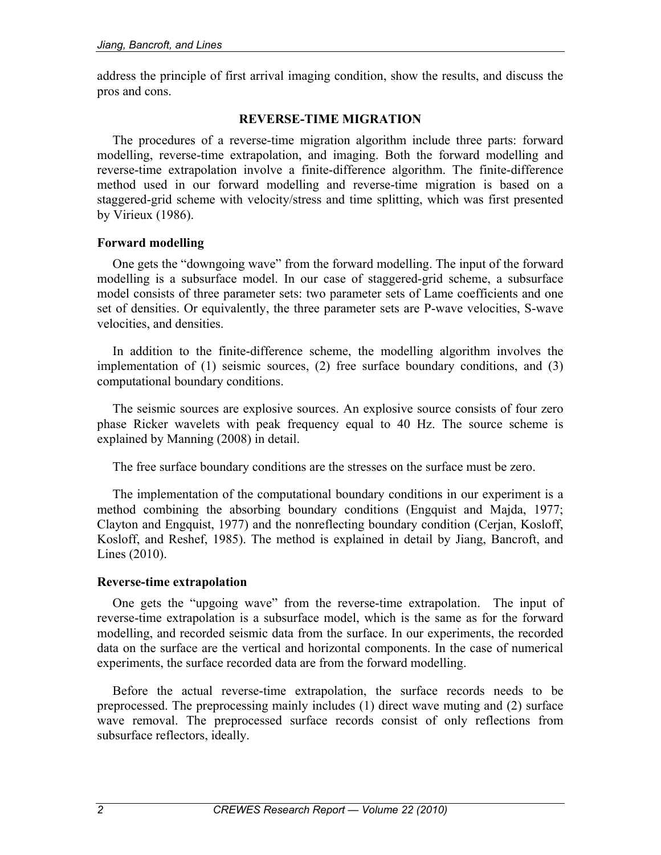address the principle of first arrival imaging condition, show the results, and discuss the pros and cons.

## **REVERSE-TIME MIGRATION**

The procedures of a reverse-time migration algorithm include three parts: forward modelling, reverse-time extrapolation, and imaging. Both the forward modelling and reverse-time extrapolation involve a finite-difference algorithm. The finite-difference method used in our forward modelling and reverse-time migration is based on a staggered-grid scheme with velocity/stress and time splitting, which was first presented by Virieux (1986).

## **Forward modelling**

One gets the "downgoing wave" from the forward modelling. The input of the forward modelling is a subsurface model. In our case of staggered-grid scheme, a subsurface model consists of three parameter sets: two parameter sets of Lame coefficients and one set of densities. Or equivalently, the three parameter sets are P-wave velocities, S-wave velocities, and densities.

In addition to the finite-difference scheme, the modelling algorithm involves the implementation of (1) seismic sources, (2) free surface boundary conditions, and (3) computational boundary conditions.

The seismic sources are explosive sources. An explosive source consists of four zero phase Ricker wavelets with peak frequency equal to 40 Hz. The source scheme is explained by Manning (2008) in detail.

The free surface boundary conditions are the stresses on the surface must be zero.

The implementation of the computational boundary conditions in our experiment is a method combining the absorbing boundary conditions (Engquist and Majda, 1977; Clayton and Engquist, 1977) and the nonreflecting boundary condition (Cerjan, Kosloff, Kosloff, and Reshef, 1985). The method is explained in detail by Jiang, Bancroft, and Lines (2010).

#### **Reverse-time extrapolation**

One gets the "upgoing wave" from the reverse-time extrapolation. The input of reverse-time extrapolation is a subsurface model, which is the same as for the forward modelling, and recorded seismic data from the surface. In our experiments, the recorded data on the surface are the vertical and horizontal components. In the case of numerical experiments, the surface recorded data are from the forward modelling.

Before the actual reverse-time extrapolation, the surface records needs to be preprocessed. The preprocessing mainly includes (1) direct wave muting and (2) surface wave removal. The preprocessed surface records consist of only reflections from subsurface reflectors, ideally.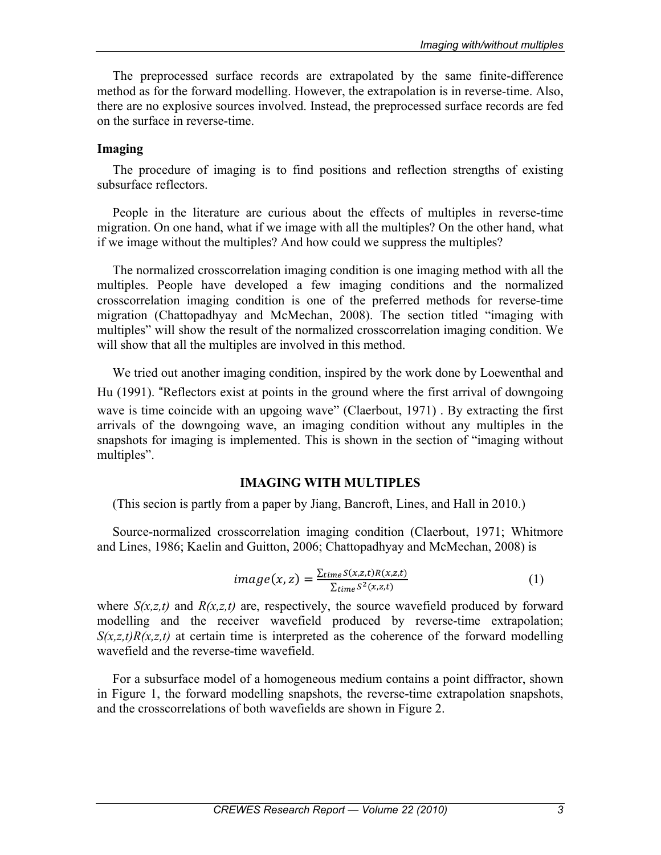The preprocessed surface records are extrapolated by the same finite-difference method as for the forward modelling. However, the extrapolation is in reverse-time. Also, there are no explosive sources involved. Instead, the preprocessed surface records are fed on the surface in reverse-time.

## **Imaging**

The procedure of imaging is to find positions and reflection strengths of existing subsurface reflectors.

People in the literature are curious about the effects of multiples in reverse-time migration. On one hand, what if we image with all the multiples? On the other hand, what if we image without the multiples? And how could we suppress the multiples?

The normalized crosscorrelation imaging condition is one imaging method with all the multiples. People have developed a few imaging conditions and the normalized crosscorrelation imaging condition is one of the preferred methods for reverse-time migration (Chattopadhyay and McMechan, 2008). The section titled "imaging with multiples" will show the result of the normalized crosscorrelation imaging condition. We will show that all the multiples are involved in this method.

We tried out another imaging condition, inspired by the work done by Loewenthal and Hu (1991). "Reflectors exist at points in the ground where the first arrival of downgoing wave is time coincide with an upgoing wave" (Claerbout, 1971). By extracting the first arrivals of the downgoing wave, an imaging condition without any multiples in the snapshots for imaging is implemented. This is shown in the section of "imaging without multiples".

## **IMAGING WITH MULTIPLES**

(This secion is partly from a paper by Jiang, Bancroft, Lines, and Hall in 2010.)

Source-normalized crosscorrelation imaging condition (Claerbout, 1971; Whitmore and Lines, 1986; Kaelin and Guitton, 2006; Chattopadhyay and McMechan, 2008) is

$$
image(x, z) = \frac{\sum_{time} S(x, z, t)R(x, z, t)}{\sum_{time} S^2(x, z, t)}
$$
(1)

where  $S(x,z,t)$  and  $R(x,z,t)$  are, respectively, the source wavefield produced by forward modelling and the receiver wavefield produced by reverse-time extrapolation;  $S(x,z,t)R(x,z,t)$  at certain time is interpreted as the coherence of the forward modelling wavefield and the reverse-time wavefield.

For a subsurface model of a homogeneous medium contains a point diffractor, shown in Figure 1, the forward modelling snapshots, the reverse-time extrapolation snapshots, and the crosscorrelations of both wavefields are shown in Figure 2.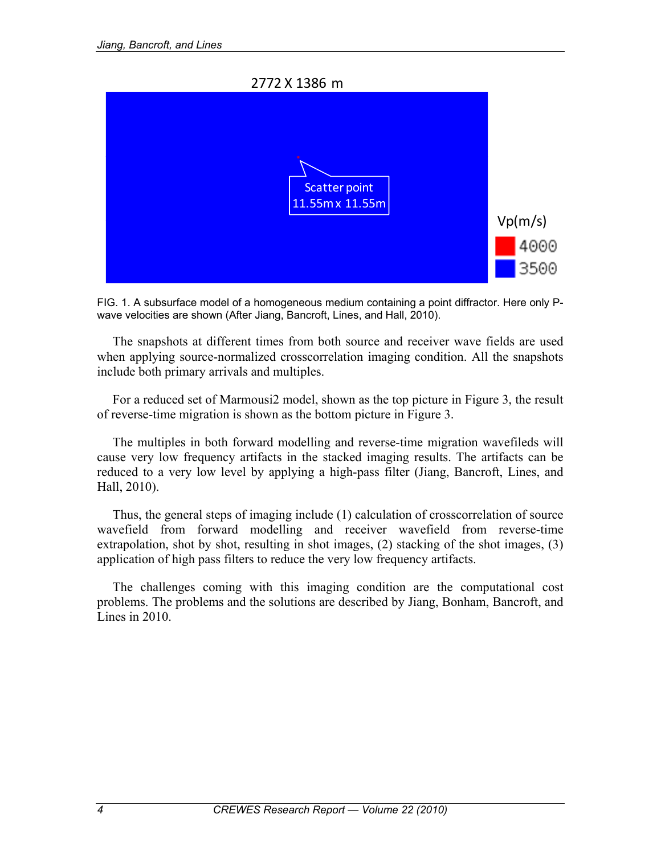2772 X 1386 m



FIG. 1. A subsurface model of a homogeneous medium containing a point diffractor. Here only Pwave velocities are shown (After Jiang, Bancroft, Lines, and Hall, 2010).

The snapshots at different times from both source and receiver wave fields are used when applying source-normalized crosscorrelation imaging condition. All the snapshots include both primary arrivals and multiples.

For a reduced set of Marmousi2 model, shown as the top picture in Figure 3, the result of reverse-time migration is shown as the bottom picture in Figure 3.

The multiples in both forward modelling and reverse-time migration wavefileds will cause very low frequency artifacts in the stacked imaging results. The artifacts can be reduced to a very low level by applying a high-pass filter (Jiang, Bancroft, Lines, and Hall, 2010).

Thus, the general steps of imaging include (1) calculation of crosscorrelation of source wavefield from forward modelling and receiver wavefield from reverse-time extrapolation, shot by shot, resulting in shot images, (2) stacking of the shot images, (3) application of high pass filters to reduce the very low frequency artifacts.

The challenges coming with this imaging condition are the computational cost problems. The problems and the solutions are described by Jiang, Bonham, Bancroft, and Lines in 2010.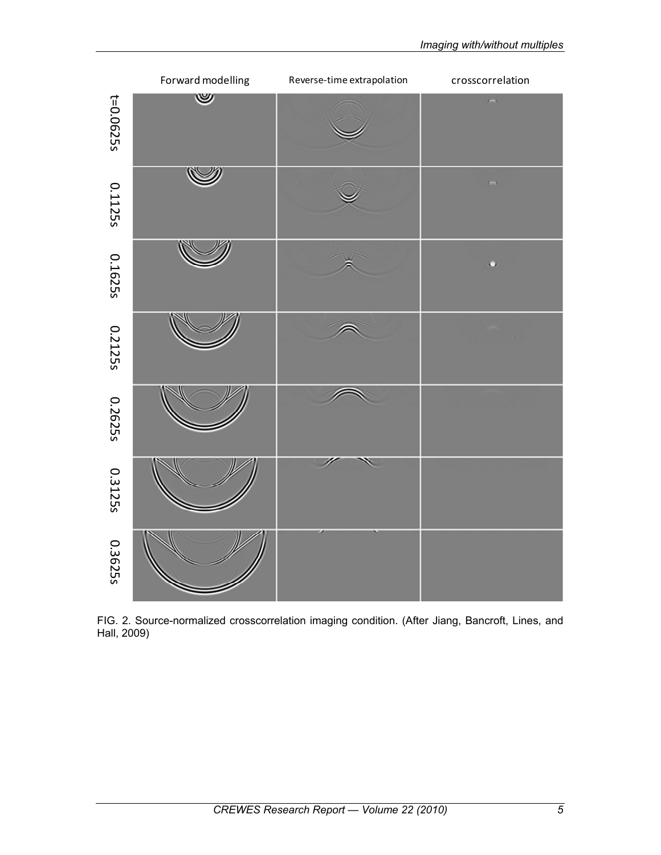

FIG. 2. Source-normalized crosscorrelation imaging condition. (After Jiang, Bancroft, Lines, and Hall, 2009)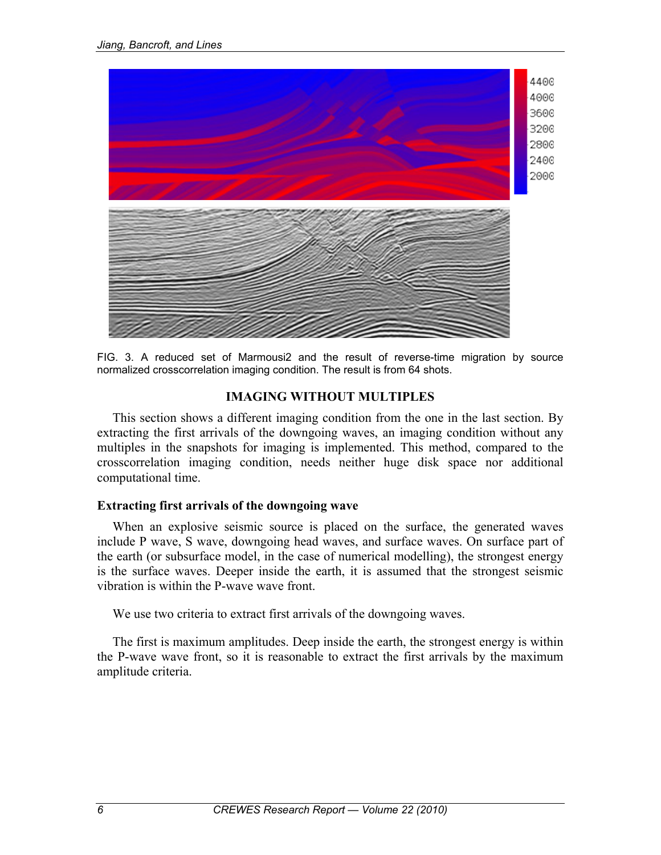

FIG. 3. A reduced set of Marmousi2 and the result of reverse-time migration by source normalized crosscorrelation imaging condition. The result is from 64 shots.

## **IMAGING WITHOUT MULTIPLES**

This section shows a different imaging condition from the one in the last section. By extracting the first arrivals of the downgoing waves, an imaging condition without any multiples in the snapshots for imaging is implemented. This method, compared to the crosscorrelation imaging condition, needs neither huge disk space nor additional computational time.

#### **Extracting first arrivals of the downgoing wave**

When an explosive seismic source is placed on the surface, the generated waves include P wave, S wave, downgoing head waves, and surface waves. On surface part of the earth (or subsurface model, in the case of numerical modelling), the strongest energy is the surface waves. Deeper inside the earth, it is assumed that the strongest seismic vibration is within the P-wave wave front.

We use two criteria to extract first arrivals of the downgoing waves.

The first is maximum amplitudes. Deep inside the earth, the strongest energy is within the P-wave wave front, so it is reasonable to extract the first arrivals by the maximum amplitude criteria.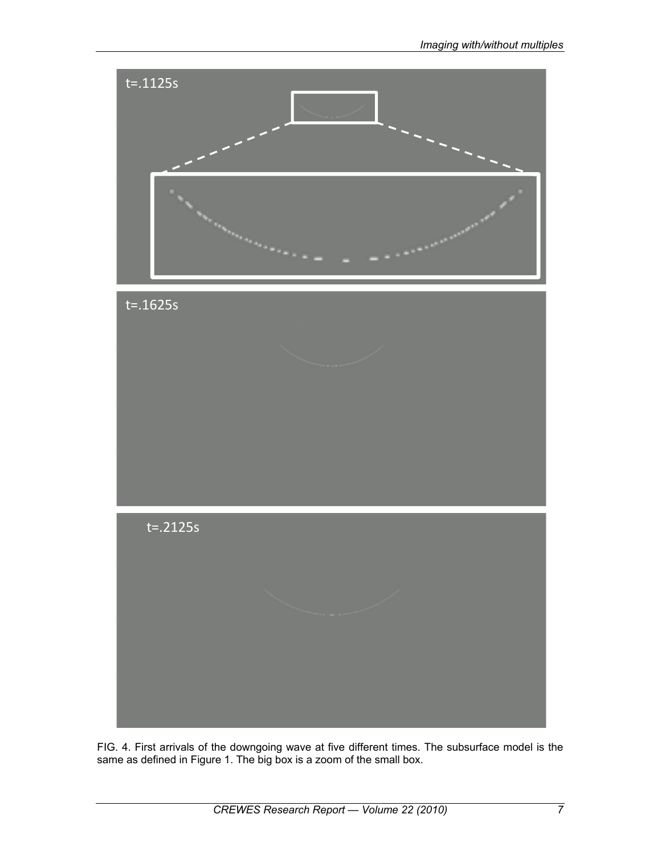

FIG. 4. First arrivals of the downgoing wave at five different times. The subsurface model is the same as defined in Figure 1. The big box is a zoom of the small box.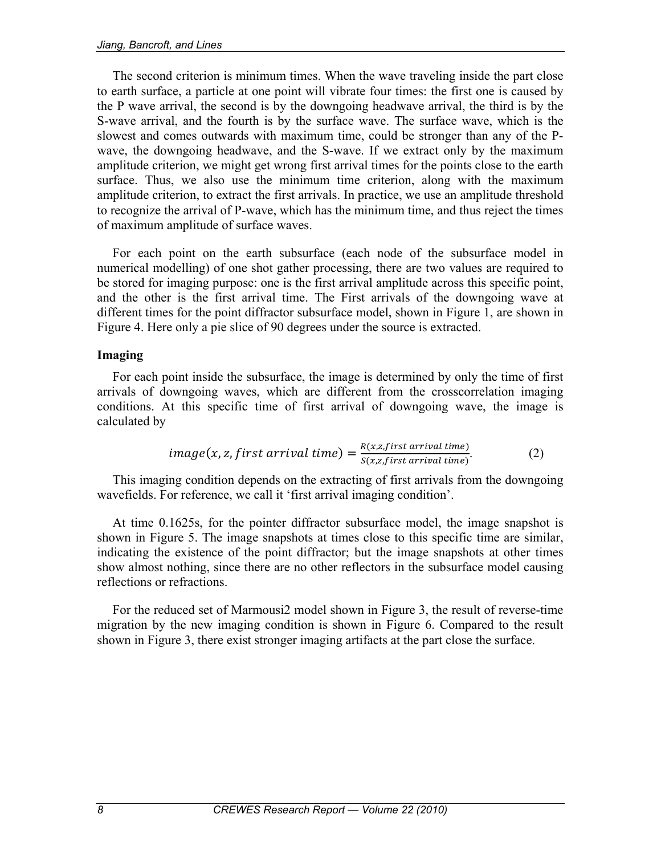The second criterion is minimum times. When the wave traveling inside the part close to earth surface, a particle at one point will vibrate four times: the first one is caused by the P wave arrival, the second is by the downgoing headwave arrival, the third is by the S-wave arrival, and the fourth is by the surface wave. The surface wave, which is the slowest and comes outwards with maximum time, could be stronger than any of the Pwave, the downgoing headwave, and the S-wave. If we extract only by the maximum amplitude criterion, we might get wrong first arrival times for the points close to the earth surface. Thus, we also use the minimum time criterion, along with the maximum amplitude criterion, to extract the first arrivals. In practice, we use an amplitude threshold to recognize the arrival of P-wave, which has the minimum time, and thus reject the times of maximum amplitude of surface waves.

For each point on the earth subsurface (each node of the subsurface model in numerical modelling) of one shot gather processing, there are two values are required to be stored for imaging purpose: one is the first arrival amplitude across this specific point, and the other is the first arrival time. The First arrivals of the downgoing wave at different times for the point diffractor subsurface model, shown in Figure 1, are shown in Figure 4. Here only a pie slice of 90 degrees under the source is extracted.

# **Imaging**

For each point inside the subsurface, the image is determined by only the time of first arrivals of downgoing waves, which are different from the crosscorrelation imaging conditions. At this specific time of first arrival of downgoing wave, the image is calculated by

$$
image(x, z, first arrival time) = \frac{R(x, z, first arrival time)}{S(x, z, first arrival time)}.
$$
 (2)

This imaging condition depends on the extracting of first arrivals from the downgoing wavefields. For reference, we call it 'first arrival imaging condition'.

At time 0.1625s, for the pointer diffractor subsurface model, the image snapshot is shown in Figure 5. The image snapshots at times close to this specific time are similar, indicating the existence of the point diffractor; but the image snapshots at other times show almost nothing, since there are no other reflectors in the subsurface model causing reflections or refractions.

For the reduced set of Marmousi2 model shown in Figure 3, the result of reverse-time migration by the new imaging condition is shown in Figure 6. Compared to the result shown in Figure 3, there exist stronger imaging artifacts at the part close the surface.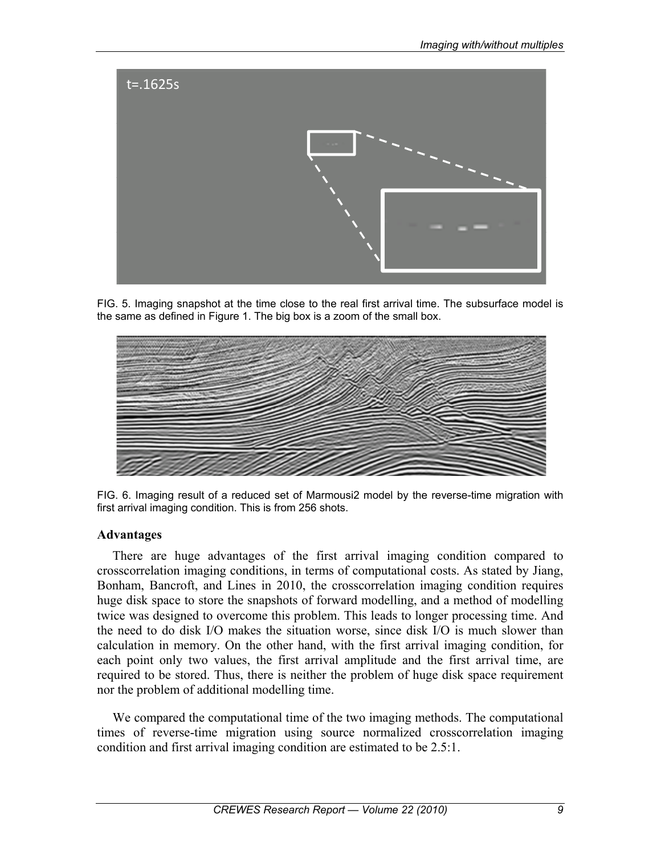

FIG. 5. Imaging snapshot at the time close to the real first arrival time. The subsurface model is the same as defined in Figure 1. The big box is a zoom of the small box.



FIG. 6. Imaging result of a reduced set of Marmousi2 model by the reverse-time migration with first arrival imaging condition. This is from 256 shots.

#### **Advantages**

There are huge advantages of the first arrival imaging condition compared to crosscorrelation imaging conditions, in terms of computational costs. As stated by Jiang, Bonham, Bancroft, and Lines in 2010, the crosscorrelation imaging condition requires huge disk space to store the snapshots of forward modelling, and a method of modelling twice was designed to overcome this problem. This leads to longer processing time. And the need to do disk I/O makes the situation worse, since disk I/O is much slower than calculation in memory. On the other hand, with the first arrival imaging condition, for each point only two values, the first arrival amplitude and the first arrival time, are required to be stored. Thus, there is neither the problem of huge disk space requirement nor the problem of additional modelling time.

We compared the computational time of the two imaging methods. The computational times of reverse-time migration using source normalized crosscorrelation imaging condition and first arrival imaging condition are estimated to be 2.5:1.